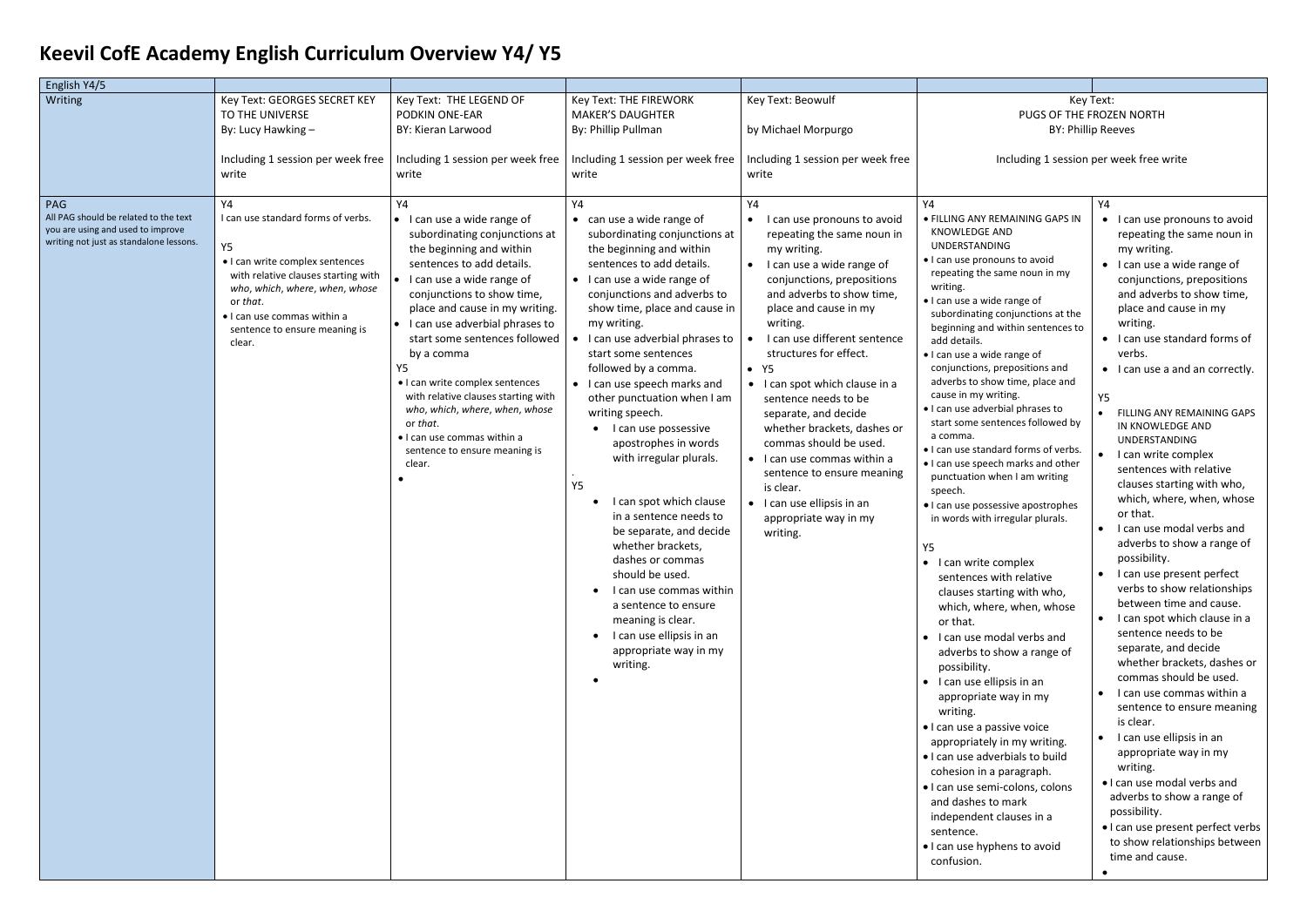## **Keevil CofE Academy English Curriculum Overview Y4/ Y5**

## Key Text: PUGS OF THE FROZEN NORTH BY: Phillip Reeves

Including 1 session per week free write

| English Y4/5                                                                                                                                   |                                                                                                                                                                                                                                                                                                                                                                                |                                                                                                                                                                                                                                                                                                                                                                                                                                             |                                                                                                                                                                                                                                                                                                                                                                                                                                                    |                                                                                                                                                                                                                                                                                                                                                                                                           |                                                                                                                                                                                                                                                                                                                                                                                                                                                                                                                                                                                                                                                                                                                                                                                                                                                                     |
|------------------------------------------------------------------------------------------------------------------------------------------------|--------------------------------------------------------------------------------------------------------------------------------------------------------------------------------------------------------------------------------------------------------------------------------------------------------------------------------------------------------------------------------|---------------------------------------------------------------------------------------------------------------------------------------------------------------------------------------------------------------------------------------------------------------------------------------------------------------------------------------------------------------------------------------------------------------------------------------------|----------------------------------------------------------------------------------------------------------------------------------------------------------------------------------------------------------------------------------------------------------------------------------------------------------------------------------------------------------------------------------------------------------------------------------------------------|-----------------------------------------------------------------------------------------------------------------------------------------------------------------------------------------------------------------------------------------------------------------------------------------------------------------------------------------------------------------------------------------------------------|---------------------------------------------------------------------------------------------------------------------------------------------------------------------------------------------------------------------------------------------------------------------------------------------------------------------------------------------------------------------------------------------------------------------------------------------------------------------------------------------------------------------------------------------------------------------------------------------------------------------------------------------------------------------------------------------------------------------------------------------------------------------------------------------------------------------------------------------------------------------|
| Writing<br><b>PAG</b><br>All PAG should be related to the text<br>you are using and used to improve<br>writing not just as standalone lessons. | Key Text: GEORGES SECRET KEY<br>TO THE UNIVERSE<br>By: Lucy Hawking -<br>Including 1 session per week free<br>write<br>Υ4<br>I can use standard forms of verbs.<br><b>Y5</b><br>• I can write complex sentences<br>with relative clauses starting with<br>who, which, where, when, whose<br>or that.<br>• I can use commas within a<br>sentence to ensure meaning is<br>clear. | Key Text: THE LEGEND OF<br>PODKIN ONE-EAR<br>BY: Kieran Larwood<br>Including 1 session per week free<br>write<br>Y4<br>• I can use a wide range of<br>subordinating conjunctions at<br>the beginning and within<br>sentences to add details.<br>• I can use a wide range of<br>conjunctions to show time,<br>place and cause in my writing.<br>• I can use adverbial phrases to<br>start some sentences followed<br>by a comma<br><b>Y5</b> | Key Text: THE FIREWORK<br><b>MAKER'S DAUGHTER</b><br>By: Phillip Pullman<br>Including 1 session per week free<br>write<br>Y4<br>can use a wide range of<br>subordinating conjunctions at<br>the beginning and within<br>sentences to add details.<br>• I can use a wide range of<br>conjunctions and adverbs to<br>show time, place and cause in<br>my writing.<br>I can use adverbial phrases to<br>start some sentences<br>followed by a comma.  | Key Text: Beowulf<br>by Michael Morpurgo<br>Including 1 session per week free<br>write<br>Y4<br>I can use pronouns to avoid<br>$\bullet$<br>repeating the same noun in<br>my writing.<br>I can use a wide range of<br>$\bullet$<br>conjunctions, prepositions<br>and adverbs to show time,<br>place and cause in my<br>writing.<br>I can use different sentence<br>structures for effect.<br>$\bullet$ Y5 | <b>PUGS C</b><br>Including 1 s<br>Υ4<br>• FILLING ANY REMAINING GA<br>KNOWLEDGE AND<br><b>UNDERSTANDING</b><br>. I can use pronouns to avoid<br>repeating the same noun in<br>writing.<br>• I can use a wide range of<br>subordinating conjunctions<br>beginning and within senter<br>add details.<br>· I can use a wide range of<br>conjunctions, prepositions a                                                                                                                                                                                                                                                                                                                                                                                                                                                                                                   |
|                                                                                                                                                |                                                                                                                                                                                                                                                                                                                                                                                | • I can write complex sentences<br>with relative clauses starting with<br>who, which, where, when, whose<br>or that.<br>• I can use commas within a<br>sentence to ensure meaning is<br>clear.                                                                                                                                                                                                                                              | I can use speech marks and<br>other punctuation when I am<br>writing speech.<br>I can use possessive<br>apostrophes in words<br>with irregular plurals.<br>Y5<br>I can spot which clause<br>in a sentence needs to<br>be separate, and decide<br>whether brackets,<br>dashes or commas<br>should be used.<br>I can use commas within<br>a sentence to ensure<br>meaning is clear.<br>I can use ellipsis in an<br>appropriate way in my<br>writing. | • I can spot which clause in a<br>sentence needs to be<br>separate, and decide<br>whether brackets, dashes or<br>commas should be used.<br>• I can use commas within a<br>sentence to ensure meaning<br>is clear.<br>• I can use ellipsis in an<br>appropriate way in my<br>writing.                                                                                                                      | adverbs to show time, place<br>cause in my writing.<br>· I can use adverbial phrases t<br>start some sentences follow<br>a comma.<br>• I can use standard forms of<br>. I can use speech marks and<br>punctuation when I am writ<br>speech.<br>· I can use possessive apostro<br>in words with irregular plura<br>Υ5<br>• I can write complex<br>sentences with relative<br>clauses starting with wh<br>which, where, when, wh<br>or that.<br>· I can use modal verbs ar<br>adverbs to show a range<br>possibility.<br>$\bullet$ I can use ellipsis in an<br>appropriate way in my<br>writing.<br>• I can use a passive voice<br>appropriately in my writin<br>· I can use adverbials to bu<br>cohesion in a paragraph.<br>· I can use semi-colons, col<br>and dashes to mark<br>independent clauses in a<br>sentence.<br>. I can use hyphens to avoi<br>confusion. |

| Υ4<br>. FILLING ANY REMAINING GAPS IN<br><b>KNOWLEDGE AND</b><br><b>UNDERSTANDING</b><br>• I can use pronouns to avoid<br>repeating the same noun in my<br>writing.<br>· I can use a wide range of<br>subordinating conjunctions at the<br>beginning and within sentences to<br>add details.<br>• I can use a wide range of<br>conjunctions, prepositions and<br>adverbs to show time, place and<br>cause in my writing.<br>. I can use adverbial phrases to<br>start some sentences followed by                                                                             | Y4<br>I can use pronouns to avoid<br>repeating the same noun in<br>my writing.<br>I can use a wide range of<br>conjunctions, prepositions<br>and adverbs to show time,<br>place and cause in my<br>writing.<br>I can use standard forms of<br>verbs.<br>I can use a and an correctly.<br>Υ5<br><b>FILLING ANY REMAINING GAPS</b>                                                                                                                                                                                                                                                         |
|------------------------------------------------------------------------------------------------------------------------------------------------------------------------------------------------------------------------------------------------------------------------------------------------------------------------------------------------------------------------------------------------------------------------------------------------------------------------------------------------------------------------------------------------------------------------------|------------------------------------------------------------------------------------------------------------------------------------------------------------------------------------------------------------------------------------------------------------------------------------------------------------------------------------------------------------------------------------------------------------------------------------------------------------------------------------------------------------------------------------------------------------------------------------------|
| a comma.<br>• I can use standard forms of verbs.<br>. I can use speech marks and other<br>punctuation when I am writing<br>speech.<br>• I can use possessive apostrophes<br>in words with irregular plurals.                                                                                                                                                                                                                                                                                                                                                                 | IN KNOWLEDGE AND<br><b>UNDERSTANDING</b><br>I can write complex<br>sentences with relative<br>clauses starting with who,<br>which, where, when, whose<br>or that.<br>I can use modal verbs and                                                                                                                                                                                                                                                                                                                                                                                           |
| Υ5<br>$\bullet$<br>I can write complex<br>sentences with relative<br>clauses starting with who,<br>which, where, when, whose<br>or that.<br>I can use modal verbs and<br>٠<br>adverbs to show a range of<br>possibility.<br>٠<br>I can use ellipsis in an<br>appropriate way in my<br>writing.<br>· I can use a passive voice<br>appropriately in my writing.<br>. I can use adverbials to build<br>cohesion in a paragraph.<br>· I can use semi-colons, colons<br>and dashes to mark<br>independent clauses in a<br>sentence.<br>. I can use hyphens to avoid<br>confusion. | adverbs to show a range of<br>possibility.<br>I can use present perfect<br>verbs to show relationships<br>between time and cause.<br>I can spot which clause in a<br>sentence needs to be<br>separate, and decide<br>whether brackets, dashes or<br>commas should be used<br>I can use commas within a<br>sentence to ensure meaning<br>is clear.<br>I can use ellipsis in an<br>appropriate way in my<br>writing.<br>• I can use modal verbs and<br>adverbs to show a range of<br>possibility.<br>• I can use present perfect verbs<br>to show relationships between<br>time and cause. |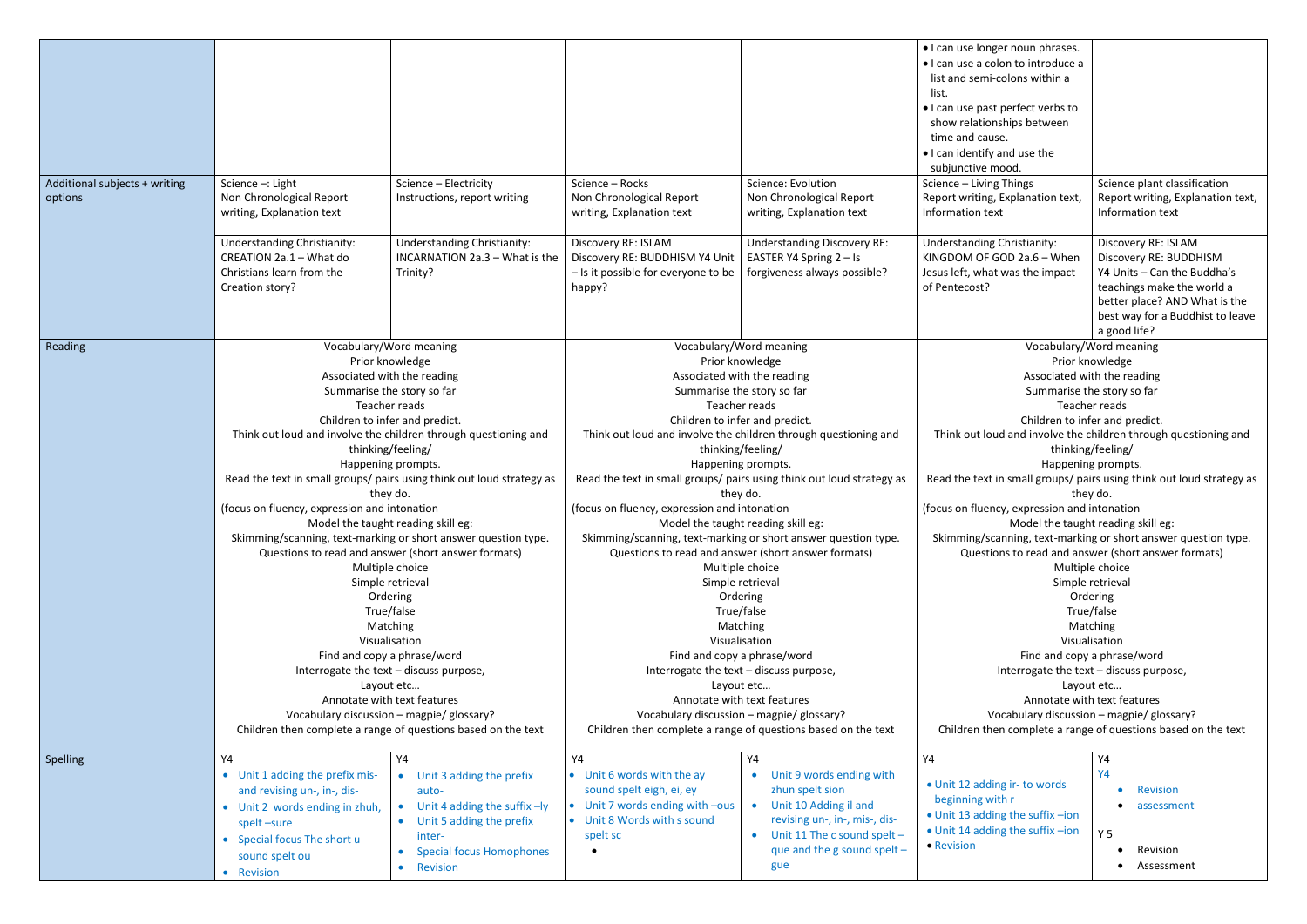| Additional subjects + writing<br>options | Science -: Light<br>Non Chronological Report<br>writing, Explanation text                                                                                                                                                                                                                                                                                                                                                                                                                                                                                                                                                                                                                                                                                                                                                                                                                                       | Science - Electricity<br>Instructions, report writing                                                                                                                | Science - Rocks<br>Non Chronological Report<br>writing, Explanation text                                                                                                                                                                                                                                                                                                                                                                                                                                                                                                                                                                                                                                                                                                                                                                                                                                        | Science: Evolution<br>Non Chronological Report<br>writing, Explanation text                                                                                                        | • I can use longer noun phrases.<br>· I can use a colon to introduce a<br>list and semi-colons within a<br>list.<br>• I can use past perfect verbs to<br>show relationships between<br>time and cause.<br>. I can identify and use the<br>subjunctive mood.<br>Science - Living Things<br>Report writing, Explanation text,<br>Information text                                                                                                                                                                                                                                                                                                                                                                                                                                                                                                                                                                 | Science plant classification<br>Report writing, Explanation text,<br>Information text                                                                                                           |
|------------------------------------------|-----------------------------------------------------------------------------------------------------------------------------------------------------------------------------------------------------------------------------------------------------------------------------------------------------------------------------------------------------------------------------------------------------------------------------------------------------------------------------------------------------------------------------------------------------------------------------------------------------------------------------------------------------------------------------------------------------------------------------------------------------------------------------------------------------------------------------------------------------------------------------------------------------------------|----------------------------------------------------------------------------------------------------------------------------------------------------------------------|-----------------------------------------------------------------------------------------------------------------------------------------------------------------------------------------------------------------------------------------------------------------------------------------------------------------------------------------------------------------------------------------------------------------------------------------------------------------------------------------------------------------------------------------------------------------------------------------------------------------------------------------------------------------------------------------------------------------------------------------------------------------------------------------------------------------------------------------------------------------------------------------------------------------|------------------------------------------------------------------------------------------------------------------------------------------------------------------------------------|-----------------------------------------------------------------------------------------------------------------------------------------------------------------------------------------------------------------------------------------------------------------------------------------------------------------------------------------------------------------------------------------------------------------------------------------------------------------------------------------------------------------------------------------------------------------------------------------------------------------------------------------------------------------------------------------------------------------------------------------------------------------------------------------------------------------------------------------------------------------------------------------------------------------|-------------------------------------------------------------------------------------------------------------------------------------------------------------------------------------------------|
|                                          | <b>Understanding Christianity:</b><br>CREATION 2a.1 - What do<br>Christians learn from the<br>Creation story?                                                                                                                                                                                                                                                                                                                                                                                                                                                                                                                                                                                                                                                                                                                                                                                                   | <b>Understanding Christianity:</b><br>INCARNATION 2a.3 - What is the<br>Trinity?                                                                                     | Discovery RE: ISLAM<br>Discovery RE: BUDDHISM Y4 Unit<br>- Is it possible for everyone to be<br>happy?                                                                                                                                                                                                                                                                                                                                                                                                                                                                                                                                                                                                                                                                                                                                                                                                          | <b>Understanding Discovery RE:</b><br>EASTER Y4 Spring 2 - Is<br>forgiveness always possible?                                                                                      | <b>Understanding Christianity:</b><br>KINGDOM OF GOD 2a.6 - When<br>Jesus left, what was the impact<br>of Pentecost?                                                                                                                                                                                                                                                                                                                                                                                                                                                                                                                                                                                                                                                                                                                                                                                            | Discovery RE: ISLAM<br>Discovery RE: BUDDHISM<br>Y4 Units - Can the Buddha's<br>teachings make the world a<br>better place? AND What is the<br>best way for a Buddhist to leave<br>a good life? |
| Reading                                  | Vocabulary/Word meaning<br>Prior knowledge<br>Associated with the reading<br>Summarise the story so far<br>Teacher reads<br>Children to infer and predict.<br>Think out loud and involve the children through questioning and<br>thinking/feeling/<br>Happening prompts.<br>Read the text in small groups/ pairs using think out loud strategy as<br>they do.<br>(focus on fluency, expression and intonation<br>Model the taught reading skill eg:<br>Skimming/scanning, text-marking or short answer question type.<br>Questions to read and answer (short answer formats)<br>Multiple choice<br>Simple retrieval<br>Ordering<br>True/false<br>Matching<br>Visualisation<br>Find and copy a phrase/word<br>Interrogate the text - discuss purpose,<br>Layout etc<br>Annotate with text features<br>Vocabulary discussion - magpie/ glossary?<br>Children then complete a range of questions based on the text |                                                                                                                                                                      | Vocabulary/Word meaning<br>Prior knowledge<br>Associated with the reading<br>Summarise the story so far<br>Teacher reads<br>Children to infer and predict.<br>Think out loud and involve the children through questioning and<br>thinking/feeling/<br>Happening prompts.<br>Read the text in small groups/ pairs using think out loud strategy as<br>they do.<br>(focus on fluency, expression and intonation<br>Model the taught reading skill eg:<br>Skimming/scanning, text-marking or short answer question type.<br>Questions to read and answer (short answer formats)<br>Multiple choice<br>Simple retrieval<br>Ordering<br>True/false<br>Matching<br>Visualisation<br>Find and copy a phrase/word<br>Interrogate the text - discuss purpose,<br>Layout etc<br>Annotate with text features<br>Vocabulary discussion - magpie/ glossary?<br>Children then complete a range of questions based on the text |                                                                                                                                                                                    | Vocabulary/Word meaning<br>Prior knowledge<br>Associated with the reading<br>Summarise the story so far<br>Teacher reads<br>Children to infer and predict.<br>Think out loud and involve the children through questioning and<br>thinking/feeling/<br>Happening prompts.<br>Read the text in small groups/ pairs using think out loud strategy as<br>they do.<br>(focus on fluency, expression and intonation<br>Model the taught reading skill eg:<br>Skimming/scanning, text-marking or short answer question type.<br>Questions to read and answer (short answer formats)<br>Multiple choice<br>Simple retrieval<br>Ordering<br>True/false<br>Matching<br>Visualisation<br>Find and copy a phrase/word<br>Interrogate the text - discuss purpose,<br>Layout etc<br>Annotate with text features<br>Vocabulary discussion - magpie/ glossary?<br>Children then complete a range of questions based on the text |                                                                                                                                                                                                 |
| Spelling                                 | Y4<br>• Unit 1 adding the prefix mis-<br>and revising un-, in-, dis-<br>• Unit 2 words ending in zhuh,<br>spelt-sure<br>• Special focus The short u<br>sound spelt ou<br>• Revision                                                                                                                                                                                                                                                                                                                                                                                                                                                                                                                                                                                                                                                                                                                             | Υ4<br>• Unit 3 adding the prefix<br>auto-<br>• Unit 4 adding the suffix -ly<br>• Unit 5 adding the prefix<br>inter-<br><b>Special focus Homophones</b><br>• Revision | Y4<br>• Unit 6 words with the ay<br>sound spelt eigh, ei, ey<br>Unit 7 words ending with -ous<br>• Unit 8 Words with s sound<br>spelt sc                                                                                                                                                                                                                                                                                                                                                                                                                                                                                                                                                                                                                                                                                                                                                                        | Y4<br>Unit 9 words ending with<br>zhun spelt sion<br>Unit 10 Adding il and<br>revising un-, in-, mis-, dis-<br>Unit 11 The c sound spelt $-$<br>que and the g sound spelt -<br>gue | Υ4<br>• Unit 12 adding ir- to words<br>beginning with r<br>• Unit 13 adding the suffix -ion<br>• Unit 14 adding the suffix -ion<br>• Revision                                                                                                                                                                                                                                                                                                                                                                                                                                                                                                                                                                                                                                                                                                                                                                   | Υ4<br>Y4<br>Revision<br>assessment<br>Y <sub>5</sub><br>Revision<br>Assessment                                                                                                                  |